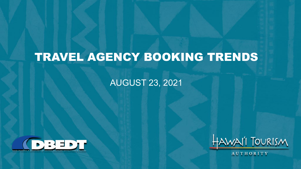# TRAVEL AGENCY BOOKING TRENDS

#### AUGUST 23, 2021





AUTHORITY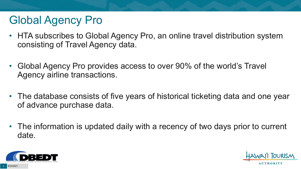# Global Agency Pro

- HTA subscribes to Global Agency Pro, an online travel distribution system consisting of Travel Agency data.
- Global Agency Pro provides access to over 90% of the world's Travel Agency airline transactions.
- The database consists of five years of historical ticketing data and one year of advance purchase data.
- The information is updated daily with a recency of two days prior to current date.



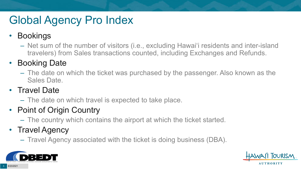# Global Agency Pro Index

### • Bookings

– Net sum of the number of visitors (i.e., excluding Hawai'i residents and inter-island travelers) from Sales transactions counted, including Exchanges and Refunds.

### • Booking Date

– The date on which the ticket was purchased by the passenger. Also known as the Sales Date.

### • Travel Date

– The date on which travel is expected to take place.

### • Point of Origin Country

– The country which contains the airport at which the ticket started.

### • Travel Agency

– Travel Agency associated with the ticket is doing business (DBA).



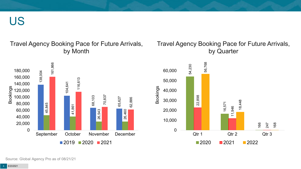US

Travel Agency Booking Pace for Future Arrivals, by Month



#### Travel Agency Booking Pace for Future Arrivals, by Quarter



Source: Global Agency Pro as of 08/21/21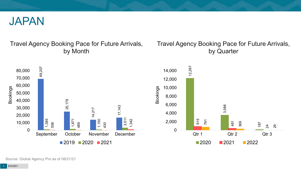

#### Travel Agency Booking Pace for Future Arrivals, by Month

#### Travel Agency Booking Pace for Future Arrivals, by Quarter



Source: Global Agency Pro as of 08/21/21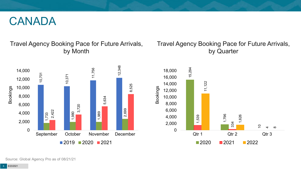### CANADA

#### Travel Agency Booking Pace for Future Arrivals, by Month



#### Travel Agency Booking Pace for Future Arrivals, by Quarter



Source: Global Agency Pro as of 08/21/21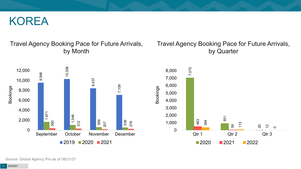### KOREA

#### Travel Agency Booking Pace for Future Arrivals, by Month



#### Travel Agency Booking Pace for Future Arrivals, by Quarter



Source: Global Agency Pro as of 08/21/21

8/23/2021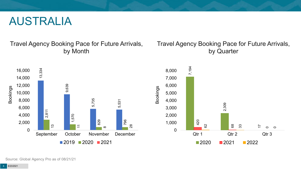### AUSTRALIA

Travel Agency Booking Pace for Future Arrivals, by Month

#### Travel Agency Booking Pace for Future Arrivals, by Quarter



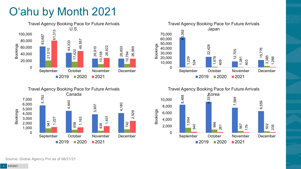# O'ahu by Month 2021





Travel Agency Booking Pace for Future Arrivals Japan 63,362 22,428 12,705 15,776 1,229 1,678 1,081 3,385 524 409 403 1,266 0 10,000 20,000 30,000 40,000 50,000 60,000 70,000 September October November December Bookings  $2019$  2020 2021

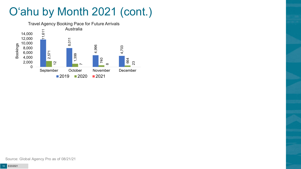# O'ahu by Month 2021 (cont.)

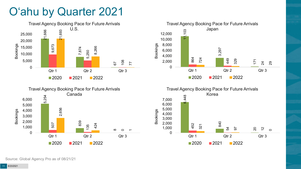# O'ahu by Quarter 2021





20

 $\frac{1}{2}$ 

 $\circ$ 

 $\mathcal{Z}$ 

97

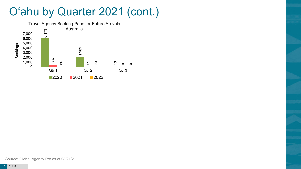## O'ahu by Quarter 2021 (cont.)

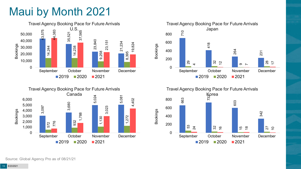# Maui by Month 2021







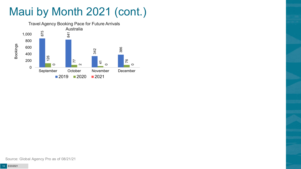# Maui by Month 2021 (cont.)

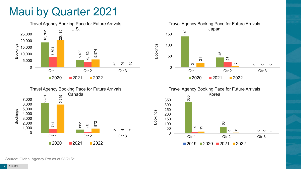## Maui by Quarter 2021









Bookings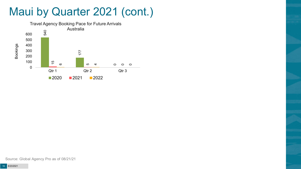## Maui by Quarter 2021 (cont.)

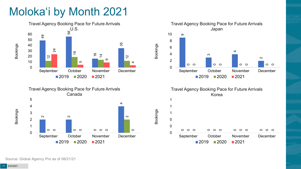# Moloka'i by Month 2021









Bookings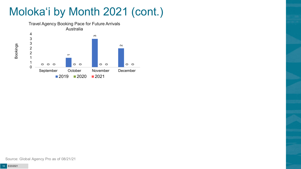# Moloka'i by Month 2021 (cont.)



Source: Global Agency Pro as of 08/21/21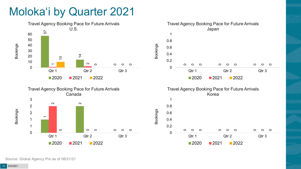# Moloka'i by Quarter 2021



Source: Global Agency Pro as of 08/21/21

 $\circ$ 

 $\circ$ 

റ

 $\circ$ 

 $\circ$ 

 $\circ$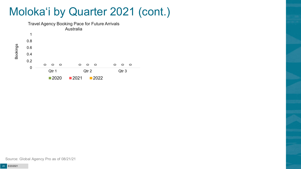## Moloka'i by Quarter 2021 (cont.)



Source: Global Agency Pro as of 08/21/21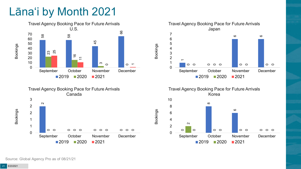# Lāna'i by Month 2021







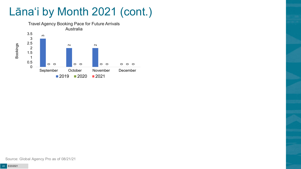# Lāna'i by Month 2021 (cont.)



Source: Global Agency Pro as of 08/21/21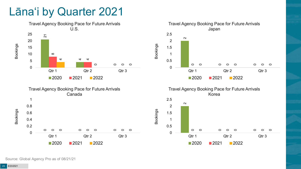## Lāna'i by Quarter 2021











Bookings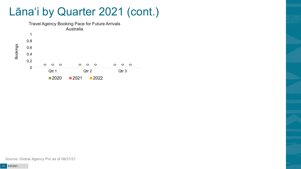Lāna'i by Quarter 2021 (cont.)



Source: Global Agency Pro as of 08/21/21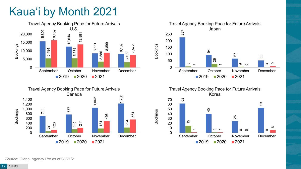# Kaua'i by Month 2021







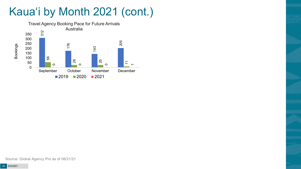# Kaua'i by Month 2021 (cont.)

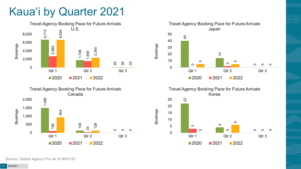# Kaua'i by Quarter 2021







Travel Agency Booking Pace for Future Arrivals Korea

Bookings

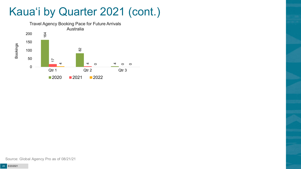# Kaua'i by Quarter 2021 (cont.)

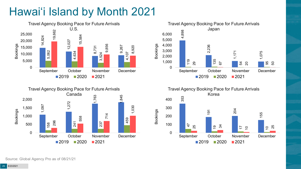# Hawai'i Island by Month 2021







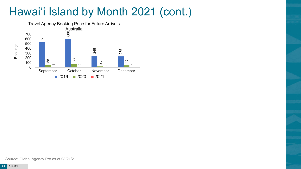# Hawai'i Island by Month 2021 (cont.)

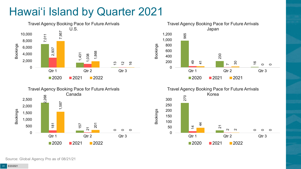# Hawai'i Island by Quarter 2021